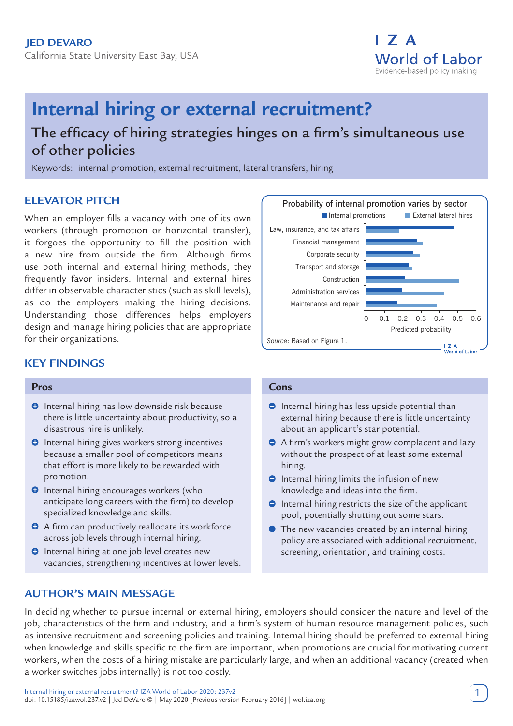

# **Internal hiring or external recruitment?**

## The efficacy of hiring strategies hinges on a firm's simultaneous use of other policies

Keywords: internal promotion, external recruitment, lateral transfers, hiring

## **ELEVATOR PITCH**

When an employer fills a vacancy with one of its own workers (through promotion or horizontal transfer), it forgoes the opportunity to fill the position with a new hire from outside the firm. Although firms use both internal and external hiring methods, they frequently favor insiders. Internal and external hires differ in observable characteristics (such as skill levels), as do the employers making the hiring decisions. Understanding those differences helps employers design and manage hiring policies that are appropriate for their organizations.

## **KEY FINDINGS**

#### **Pros**

- **O** Internal hiring has low downside risk because there is little uncertainty about productivity, so a disastrous hire is unlikely.
- **O** Internal hiring gives workers strong incentives because a smaller pool of competitors means that effort is more likely to be rewarded with promotion.
- **O** Internal hiring encourages workers (who anticipate long careers with the firm) to develop specialized knowledge and skills.
- A firm can productively reallocate its workforce across job levels through internal hiring.
- **O** Internal hiring at one job level creates new vacancies, strengthening incentives at lower levels.

## **AUTHOR'S MAIN MESSAGE**



#### **Cons**

- $\bullet$  Internal hiring has less upside potential than external hiring because there is little uncertainty about an applicant's star potential.
- A firm's workers might grow complacent and lazy without the prospect of at least some external hiring.
- $\bullet$  Internal hiring limits the infusion of new knowledge and ideas into the firm.
- $\bullet$  Internal hiring restricts the size of the applicant pool, potentially shutting out some stars.
- The new vacancies created by an internal hiring policy are associated with additional recruitment, screening, orientation, and training costs.

In deciding whether to pursue internal or external hiring, employers should consider the nature and level of the job, characteristics of the firm and industry, and a firm's system of human resource management policies, such as intensive recruitment and screening policies and training. Internal hiring should be preferred to external hiring when knowledge and skills specific to the firm are important, when promotions are crucial for motivating current workers, when the costs of a hiring mistake are particularly large, and when an additional vacancy (created when a worker switches jobs internally) is not too costly.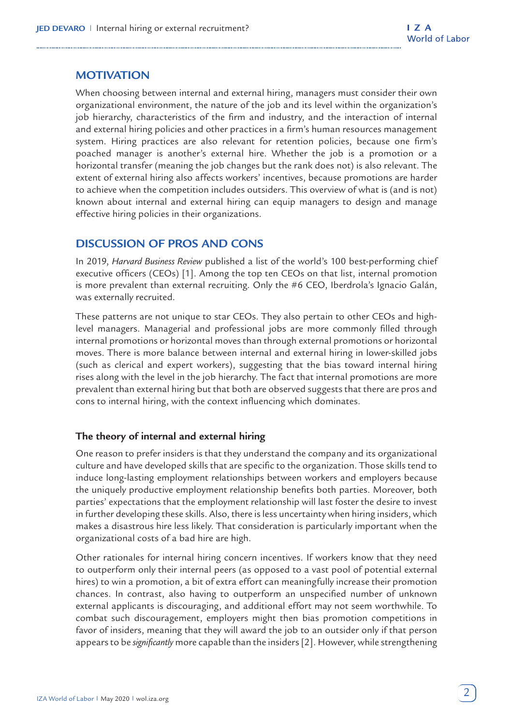## **MOTIVATION**

When choosing between internal and external hiring, managers must consider their own organizational environment, the nature of the job and its level within the organization's job hierarchy, characteristics of the firm and industry, and the interaction of internal and external hiring policies and other practices in a firm's human resources management system. Hiring practices are also relevant for retention policies, because one firm's poached manager is another's external hire. Whether the job is a promotion or a horizontal transfer (meaning the job changes but the rank does not) is also relevant. The extent of external hiring also affects workers' incentives, because promotions are harder to achieve when the competition includes outsiders. This overview of what is (and is not) known about internal and external hiring can equip managers to design and manage effective hiring policies in their organizations.

## **DISCUSSION OF PROS AND CONS**

In 2019, *Harvard Business Review* published a list of the world's 100 best-performing chief executive officers (CEOs) [1]. Among the top ten CEOs on that list, internal promotion is more prevalent than external recruiting. Only the #6 CEO, Iberdrola's Ignacio Galán, was externally recruited.

These patterns are not unique to star CEOs. They also pertain to other CEOs and highlevel managers. Managerial and professional jobs are more commonly filled through internal promotions or horizontal moves than through external promotions or horizontal moves. There is more balance between internal and external hiring in lower-skilled jobs (such as clerical and expert workers), suggesting that the bias toward internal hiring rises along with the level in the job hierarchy. The fact that internal promotions are more prevalent than external hiring but that both are observed suggests that there are pros and cons to internal hiring, with the context influencing which dominates.

#### **The theory of internal and external hiring**

One reason to prefer insiders is that they understand the company and its organizational culture and have developed skills that are specific to the organization. Those skills tend to induce long-lasting employment relationships between workers and employers because the uniquely productive employment relationship benefits both parties. Moreover, both parties' expectations that the employment relationship will last foster the desire to invest in further developing these skills. Also, there is less uncertainty when hiring insiders, which makes a disastrous hire less likely. That consideration is particularly important when the organizational costs of a bad hire are high.

Other rationales for internal hiring concern incentives. If workers know that they need to outperform only their internal peers (as opposed to a vast pool of potential external hires) to win a promotion, a bit of extra effort can meaningfully increase their promotion chances. In contrast, also having to outperform an unspecified number of unknown external applicants is discouraging, and additional effort may not seem worthwhile. To combat such discouragement, employers might then bias promotion competitions in favor of insiders, meaning that they will award the job to an outsider only if that person appears to be *significantly* more capable than the insiders [2]. However, while strengthening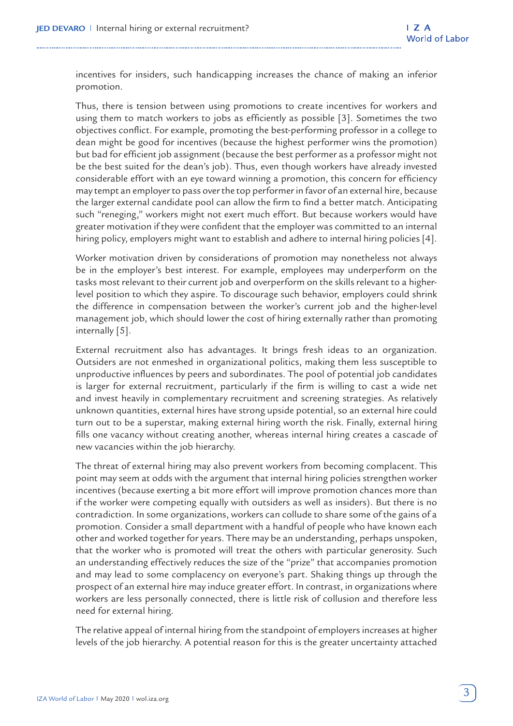incentives for insiders, such handicapping increases the chance of making an inferior promotion.

Thus, there is tension between using promotions to create incentives for workers and using them to match workers to jobs as efficiently as possible [3]. Sometimes the two objectives conflict. For example, promoting the best-performing professor in a college to dean might be good for incentives (because the highest performer wins the promotion) but bad for efficient job assignment (because the best performer as a professor might not be the best suited for the dean's job). Thus, even though workers have already invested considerable effort with an eye toward winning a promotion, this concern for efficiency may tempt an employer to pass over the top performer in favor of an external hire, because the larger external candidate pool can allow the firm to find a better match. Anticipating such "reneging," workers might not exert much effort. But because workers would have greater motivation if they were confident that the employer was committed to an internal hiring policy, employers might want to establish and adhere to internal hiring policies [4].

Worker motivation driven by considerations of promotion may nonetheless not always be in the employer's best interest. For example, employees may underperform on the tasks most relevant to their current job and overperform on the skills relevant to a higherlevel position to which they aspire. To discourage such behavior, employers could shrink the difference in compensation between the worker's current job and the higher-level management job, which should lower the cost of hiring externally rather than promoting internally [5].

External recruitment also has advantages. It brings fresh ideas to an organization. Outsiders are not enmeshed in organizational politics, making them less susceptible to unproductive influences by peers and subordinates. The pool of potential job candidates is larger for external recruitment, particularly if the firm is willing to cast a wide net and invest heavily in complementary recruitment and screening strategies. As relatively unknown quantities, external hires have strong upside potential, so an external hire could turn out to be a superstar, making external hiring worth the risk. Finally, external hiring fills one vacancy without creating another, whereas internal hiring creates a cascade of new vacancies within the job hierarchy.

The threat of external hiring may also prevent workers from becoming complacent. This point may seem at odds with the argument that internal hiring policies strengthen worker incentives (because exerting a bit more effort will improve promotion chances more than if the worker were competing equally with outsiders as well as insiders). But there is no contradiction. In some organizations, workers can collude to share some of the gains of a promotion. Consider a small department with a handful of people who have known each other and worked together for years. There may be an understanding, perhaps unspoken, that the worker who is promoted will treat the others with particular generosity. Such an understanding effectively reduces the size of the "prize" that accompanies promotion and may lead to some complacency on everyone's part. Shaking things up through the prospect of an external hire may induce greater effort. In contrast, in organizations where workers are less personally connected, there is little risk of collusion and therefore less need for external hiring.

The relative appeal of internal hiring from the standpoint of employers increases at higher levels of the job hierarchy. A potential reason for this is the greater uncertainty attached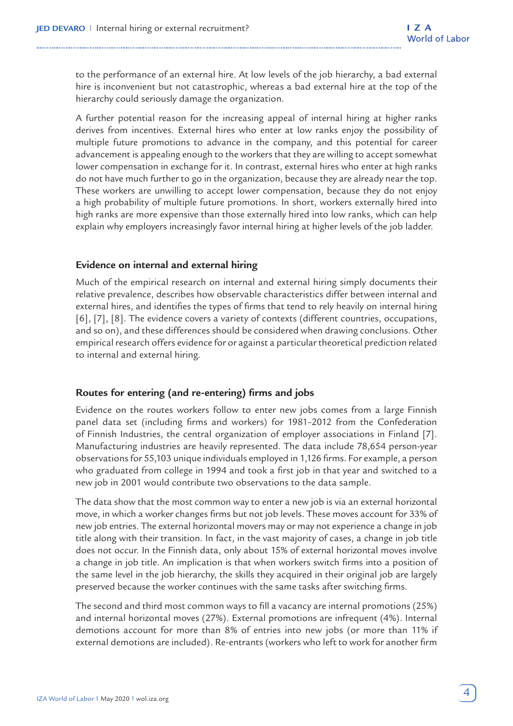to the performance of an external hire. At low levels of the job hierarchy, a bad external hire is inconvenient but not catastrophic, whereas a bad external hire at the top of the hierarchy could seriously damage the organization.

A further potential reason for the increasing appeal of internal hiring at higher ranks derives from incentives. External hires who enter at low ranks enjoy the possibility of multiple future promotions to advance in the company, and this potential for career advancement is appealing enough to the workers that they are willing to accept somewhat lower compensation in exchange for it. In contrast, external hires who enter at high ranks do not have much further to go in the organization, because they are already near the top. These workers are unwilling to accept lower compensation, because they do not enjoy a high probability of multiple future promotions. In short, workers externally hired into high ranks are more expensive than those externally hired into low ranks, which can help explain why employers increasingly favor internal hiring at higher levels of the job ladder.

#### **Evidence on internal and external hiring**

Much of the empirical research on internal and external hiring simply documents their relative prevalence, describes how observable characteristics differ between internal and external hires, and identifies the types of firms that tend to rely heavily on internal hiring [6], [7], [8]. The evidence covers a variety of contexts (different countries, occupations, and so on), and these differences should be considered when drawing conclusions. Other empirical research offers evidence for or against a particular theoretical prediction related to internal and external hiring.

#### **Routes for entering (and re-entering) firms and jobs**

Evidence on the routes workers follow to enter new jobs comes from a large Finnish panel data set (including firms and workers) for 1981–2012 from the Confederation of Finnish Industries, the central organization of employer associations in Finland [7]. Manufacturing industries are heavily represented. The data include 78,654 person-year observations for 55,103 unique individuals employed in 1,126 firms. For example, a person who graduated from college in 1994 and took a first job in that year and switched to a new job in 2001 would contribute two observations to the data sample.

The data show that the most common way to enter a new job is via an external horizontal move, in which a worker changes firms but not job levels. These moves account for 33% of new job entries. The external horizontal movers may or may not experience a change in job title along with their transition. In fact, in the vast majority of cases, a change in job title does not occur. In the Finnish data, only about 15% of external horizontal moves involve a change in job title. An implication is that when workers switch firms into a position of the same level in the job hierarchy, the skills they acquired in their original job are largely preserved because the worker continues with the same tasks after switching firms.

The second and third most common ways to fill a vacancy are internal promotions (25%) and internal horizontal moves (27%). External promotions are infrequent (4%). Internal demotions account for more than 8% of entries into new jobs (or more than 11% if external demotions are included). Re-entrants (workers who left to work for another firm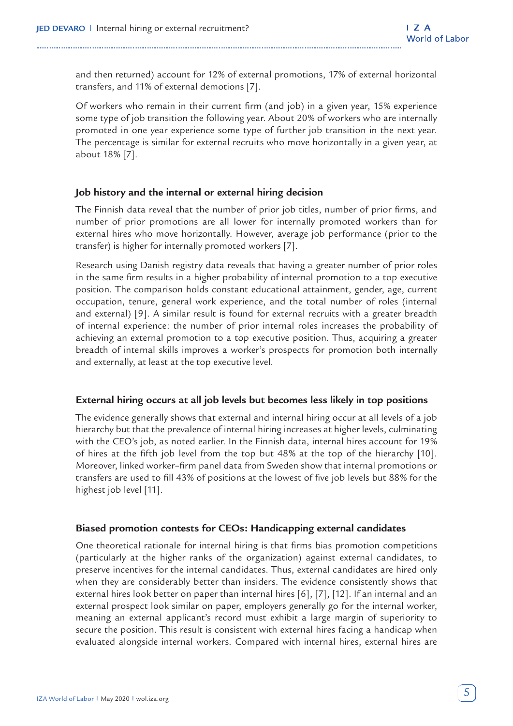and then returned) account for 12% of external promotions, 17% of external horizontal transfers, and 11% of external demotions [7].

Of workers who remain in their current firm (and job) in a given year, 15% experience some type of job transition the following year. About 20% of workers who are internally promoted in one year experience some type of further job transition in the next year. The percentage is similar for external recruits who move horizontally in a given year, at about 18% [7].

#### **Job history and the internal or external hiring decision**

The Finnish data reveal that the number of prior job titles, number of prior firms, and number of prior promotions are all lower for internally promoted workers than for external hires who move horizontally. However, average job performance (prior to the transfer) is higher for internally promoted workers [7].

Research using Danish registry data reveals that having a greater number of prior roles in the same firm results in a higher probability of internal promotion to a top executive position. The comparison holds constant educational attainment, gender, age, current occupation, tenure, general work experience, and the total number of roles (internal and external) [9]. A similar result is found for external recruits with a greater breadth of internal experience: the number of prior internal roles increases the probability of achieving an external promotion to a top executive position. Thus, acquiring a greater breadth of internal skills improves a worker's prospects for promotion both internally and externally, at least at the top executive level.

#### **External hiring occurs at all job levels but becomes less likely in top positions**

The evidence generally shows that external and internal hiring occur at all levels of a job hierarchy but that the prevalence of internal hiring increases at higher levels, culminating with the CEO's job, as noted earlier. In the Finnish data, internal hires account for 19% of hires at the fifth job level from the top but 48% at the top of the hierarchy [10]. Moreover, linked worker–firm panel data from Sweden show that internal promotions or transfers are used to fill 43% of positions at the lowest of five job levels but 88% for the highest job level [11].

#### **Biased promotion contests for CEOs: Handicapping external candidates**

One theoretical rationale for internal hiring is that firms bias promotion competitions (particularly at the higher ranks of the organization) against external candidates, to preserve incentives for the internal candidates. Thus, external candidates are hired only when they are considerably better than insiders. The evidence consistently shows that external hires look better on paper than internal hires [6], [7], [12]. If an internal and an external prospect look similar on paper, employers generally go for the internal worker, meaning an external applicant's record must exhibit a large margin of superiority to secure the position. This result is consistent with external hires facing a handicap when evaluated alongside internal workers. Compared with internal hires, external hires are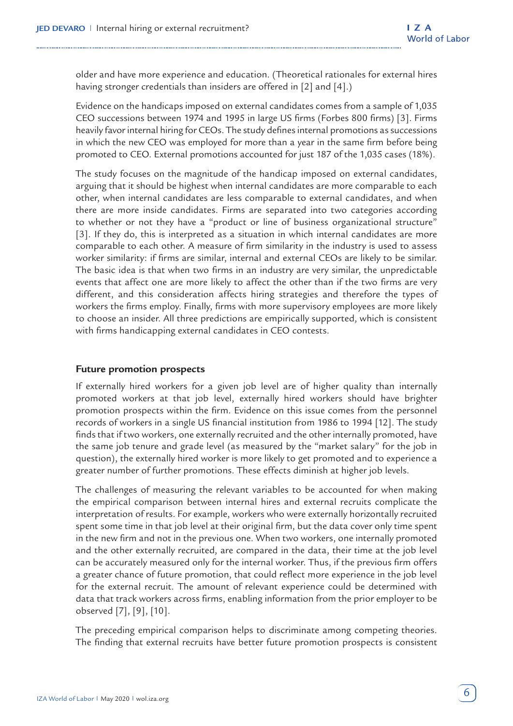older and have more experience and education. (Theoretical rationales for external hires having stronger credentials than insiders are offered in [2] and [4].)

Evidence on the handicaps imposed on external candidates comes from a sample of 1,035 CEO successions between 1974 and 1995 in large US firms (Forbes 800 firms) [3]. Firms heavily favor internal hiring for CEOs. The study defines internal promotions as successions in which the new CEO was employed for more than a year in the same firm before being promoted to CEO. External promotions accounted for just 187 of the 1,035 cases (18%).

The study focuses on the magnitude of the handicap imposed on external candidates, arguing that it should be highest when internal candidates are more comparable to each other, when internal candidates are less comparable to external candidates, and when there are more inside candidates. Firms are separated into two categories according to whether or not they have a "product or line of business organizational structure" [3]. If they do, this is interpreted as a situation in which internal candidates are more comparable to each other. A measure of firm similarity in the industry is used to assess worker similarity: if firms are similar, internal and external CEOs are likely to be similar. The basic idea is that when two firms in an industry are very similar, the unpredictable events that affect one are more likely to affect the other than if the two firms are very different, and this consideration affects hiring strategies and therefore the types of workers the firms employ. Finally, firms with more supervisory employees are more likely to choose an insider. All three predictions are empirically supported, which is consistent with firms handicapping external candidates in CEO contests.

#### **Future promotion prospects**

If externally hired workers for a given job level are of higher quality than internally promoted workers at that job level, externally hired workers should have brighter promotion prospects within the firm. Evidence on this issue comes from the personnel records of workers in a single US financial institution from 1986 to 1994 [12]. The study finds that if two workers, one externally recruited and the other internally promoted, have the same job tenure and grade level (as measured by the "market salary" for the job in question), the externally hired worker is more likely to get promoted and to experience a greater number of further promotions. These effects diminish at higher job levels.

The challenges of measuring the relevant variables to be accounted for when making the empirical comparison between internal hires and external recruits complicate the interpretation of results. For example, workers who were externally horizontally recruited spent some time in that job level at their original firm, but the data cover only time spent in the new firm and not in the previous one. When two workers, one internally promoted and the other externally recruited, are compared in the data, their time at the job level can be accurately measured only for the internal worker. Thus, if the previous firm offers a greater chance of future promotion, that could reflect more experience in the job level for the external recruit. The amount of relevant experience could be determined with data that track workers across firms, enabling information from the prior employer to be observed [7], [9], [10].

The preceding empirical comparison helps to discriminate among competing theories. The finding that external recruits have better future promotion prospects is consistent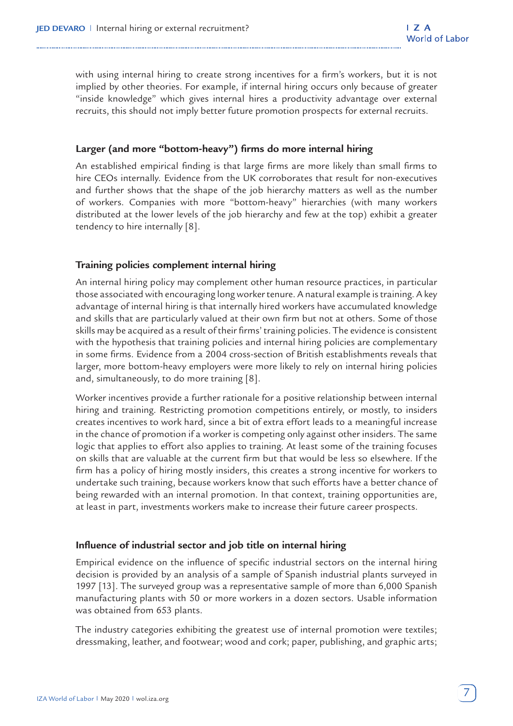with using internal hiring to create strong incentives for a firm's workers, but it is not implied by other theories. For example, if internal hiring occurs only because of greater "inside knowledge" which gives internal hires a productivity advantage over external recruits, this should not imply better future promotion prospects for external recruits.

#### **Larger (and more "bottom-heavy") firms do more internal hiring**

An established empirical finding is that large firms are more likely than small firms to hire CEOs internally. Evidence from the UK corroborates that result for non-executives and further shows that the shape of the job hierarchy matters as well as the number of workers. Companies with more "bottom-heavy" hierarchies (with many workers distributed at the lower levels of the job hierarchy and few at the top) exhibit a greater tendency to hire internally [8].

#### **Training policies complement internal hiring**

An internal hiring policy may complement other human resource practices, in particular those associated with encouraging long worker tenure. A natural example is training. A key advantage of internal hiring is that internally hired workers have accumulated knowledge and skills that are particularly valued at their own firm but not at others. Some of those skills may be acquired as a result of their firms' training policies. The evidence is consistent with the hypothesis that training policies and internal hiring policies are complementary in some firms. Evidence from a 2004 cross-section of British establishments reveals that larger, more bottom-heavy employers were more likely to rely on internal hiring policies and, simultaneously, to do more training [8].

Worker incentives provide a further rationale for a positive relationship between internal hiring and training. Restricting promotion competitions entirely, or mostly, to insiders creates incentives to work hard, since a bit of extra effort leads to a meaningful increase in the chance of promotion if a worker is competing only against other insiders. The same logic that applies to effort also applies to training. At least some of the training focuses on skills that are valuable at the current firm but that would be less so elsewhere. If the firm has a policy of hiring mostly insiders, this creates a strong incentive for workers to undertake such training, because workers know that such efforts have a better chance of being rewarded with an internal promotion. In that context, training opportunities are, at least in part, investments workers make to increase their future career prospects.

#### **Influence of industrial sector and job title on internal hiring**

Empirical evidence on the influence of specific industrial sectors on the internal hiring decision is provided by an analysis of a sample of Spanish industrial plants surveyed in 1997 [13]. The surveyed group was a representative sample of more than 6,000 Spanish manufacturing plants with 50 or more workers in a dozen sectors. Usable information was obtained from 653 plants.

The industry categories exhibiting the greatest use of internal promotion were textiles; dressmaking, leather, and footwear; wood and cork; paper, publishing, and graphic arts;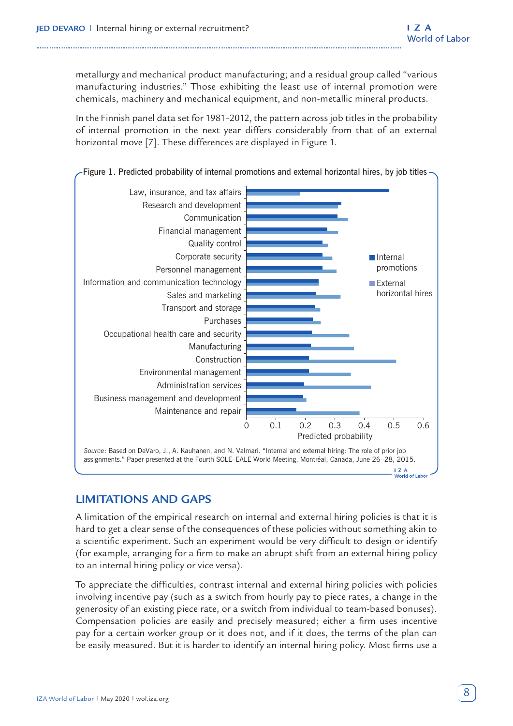metallurgy and mechanical product manufacturing; and a residual group called "various manufacturing industries." Those exhibiting the least use of internal promotion were chemicals, machinery and mechanical equipment, and non-metallic mineral products.

In the Finnish panel data set for 1981–2012, the pattern across job titles in the probability of internal promotion in the next year differs considerably from that of an external horizontal move [7]. These differences are displayed in Figure 1.



Figure 1. Predicted probability of internal promotions and external horizontal hires, by job titles

#### **LIMITATIONS AND GAPS**

A limitation of the empirical research on internal and external hiring policies is that it is hard to get a clear sense of the consequences of these policies without something akin to a scientific experiment. Such an experiment would be very difficult to design or identify (for example, arranging for a firm to make an abrupt shift from an external hiring policy to an internal hiring policy or vice versa).

To appreciate the difficulties, contrast internal and external hiring policies with policies involving incentive pay (such as a switch from hourly pay to piece rates, a change in the generosity of an existing piece rate, or a switch from individual to team-based bonuses). Compensation policies are easily and precisely measured; either a firm uses incentive pay for a certain worker group or it does not, and if it does, the terms of the plan can be easily measured. But it is harder to identify an internal hiring policy. Most firms use a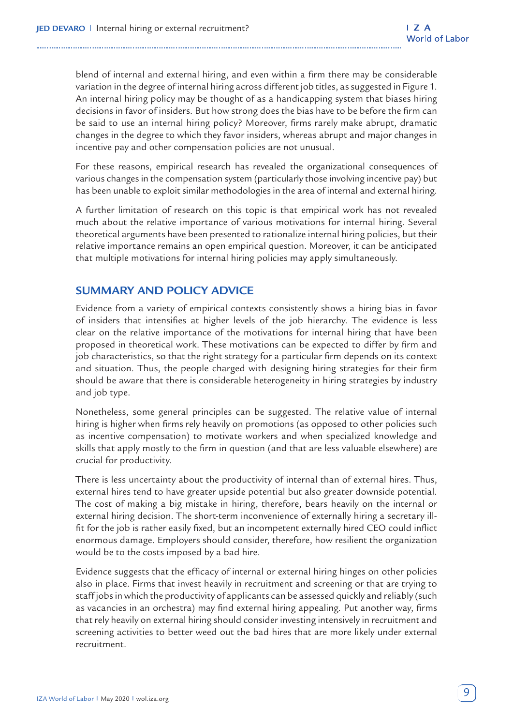blend of internal and external hiring, and even within a firm there may be considerable variation in the degree of internal hiring across different job titles, as suggested in Figure 1. An internal hiring policy may be thought of as a handicapping system that biases hiring decisions in favor of insiders. But how strong does the bias have to be before the firm can be said to use an internal hiring policy? Moreover, firms rarely make abrupt, dramatic changes in the degree to which they favor insiders, whereas abrupt and major changes in incentive pay and other compensation policies are not unusual.

For these reasons, empirical research has revealed the organizational consequences of various changes in the compensation system (particularly those involving incentive pay) but has been unable to exploit similar methodologies in the area of internal and external hiring.

A further limitation of research on this topic is that empirical work has not revealed much about the relative importance of various motivations for internal hiring. Several theoretical arguments have been presented to rationalize internal hiring policies, but their relative importance remains an open empirical question. Moreover, it can be anticipated that multiple motivations for internal hiring policies may apply simultaneously.

#### **SUMMARY AND POLICY ADVICE**

Evidence from a variety of empirical contexts consistently shows a hiring bias in favor of insiders that intensifies at higher levels of the job hierarchy. The evidence is less clear on the relative importance of the motivations for internal hiring that have been proposed in theoretical work. These motivations can be expected to differ by firm and job characteristics, so that the right strategy for a particular firm depends on its context and situation. Thus, the people charged with designing hiring strategies for their firm should be aware that there is considerable heterogeneity in hiring strategies by industry and job type.

Nonetheless, some general principles can be suggested. The relative value of internal hiring is higher when firms rely heavily on promotions (as opposed to other policies such as incentive compensation) to motivate workers and when specialized knowledge and skills that apply mostly to the firm in question (and that are less valuable elsewhere) are crucial for productivity.

There is less uncertainty about the productivity of internal than of external hires. Thus, external hires tend to have greater upside potential but also greater downside potential. The cost of making a big mistake in hiring, therefore, bears heavily on the internal or external hiring decision. The short-term inconvenience of externally hiring a secretary illfit for the job is rather easily fixed, but an incompetent externally hired CEO could inflict enormous damage. Employers should consider, therefore, how resilient the organization would be to the costs imposed by a bad hire.

Evidence suggests that the efficacy of internal or external hiring hinges on other policies also in place. Firms that invest heavily in recruitment and screening or that are trying to staff jobs in which the productivity of applicants can be assessed quickly and reliably (such as vacancies in an orchestra) may find external hiring appealing. Put another way, firms that rely heavily on external hiring should consider investing intensively in recruitment and screening activities to better weed out the bad hires that are more likely under external recruitment.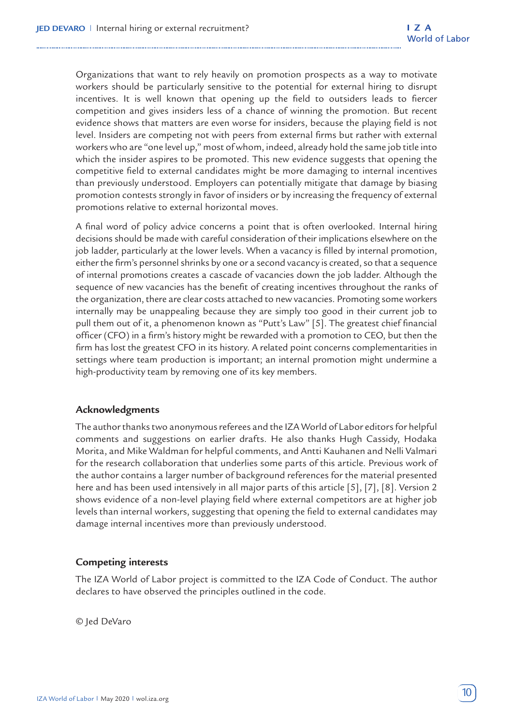Organizations that want to rely heavily on promotion prospects as a way to motivate workers should be particularly sensitive to the potential for external hiring to disrupt incentives. It is well known that opening up the field to outsiders leads to fiercer competition and gives insiders less of a chance of winning the promotion. But recent evidence shows that matters are even worse for insiders, because the playing field is not level. Insiders are competing not with peers from external firms but rather with external workers who are "one level up," most of whom, indeed, already hold the same job title into which the insider aspires to be promoted. This new evidence suggests that opening the competitive field to external candidates might be more damaging to internal incentives than previously understood. Employers can potentially mitigate that damage by biasing promotion contests strongly in favor of insiders or by increasing the frequency of external promotions relative to external horizontal moves.

A final word of policy advice concerns a point that is often overlooked. Internal hiring decisions should be made with careful consideration of their implications elsewhere on the job ladder, particularly at the lower levels. When a vacancy is filled by internal promotion, either the firm's personnel shrinks by one or a second vacancy is created, so that a sequence of internal promotions creates a cascade of vacancies down the job ladder. Although the sequence of new vacancies has the benefit of creating incentives throughout the ranks of the organization, there are clear costs attached to new vacancies. Promoting some workers internally may be unappealing because they are simply too good in their current job to pull them out of it, a phenomenon known as "Putt's Law" [5]. The greatest chief financial officer (CFO) in a firm's history might be rewarded with a promotion to CEO, but then the firm has lost the greatest CFO in its history. A related point concerns complementarities in settings where team production is important; an internal promotion might undermine a high-productivity team by removing one of its key members.

#### **Acknowledgments**

The author thanks two anonymous referees and the IZA World of Labor editors for helpful comments and suggestions on earlier drafts. He also thanks Hugh Cassidy, Hodaka Morita, and Mike Waldman for helpful comments, and Antti Kauhanen and Nelli Valmari for the research collaboration that underlies some parts of this article. Previous work of the author contains a larger number of background references for the material presented here and has been used intensively in all major parts of this article [5], [7], [8]. Version 2 shows evidence of a non-level playing field where external competitors are at higher job levels than internal workers, suggesting that opening the field to external candidates may damage internal incentives more than previously understood.

#### **Competing interests**

The IZA World of Labor project is committed to the IZA Code of Conduct. The author declares to have observed the principles outlined in the code.

© Jed DeVaro